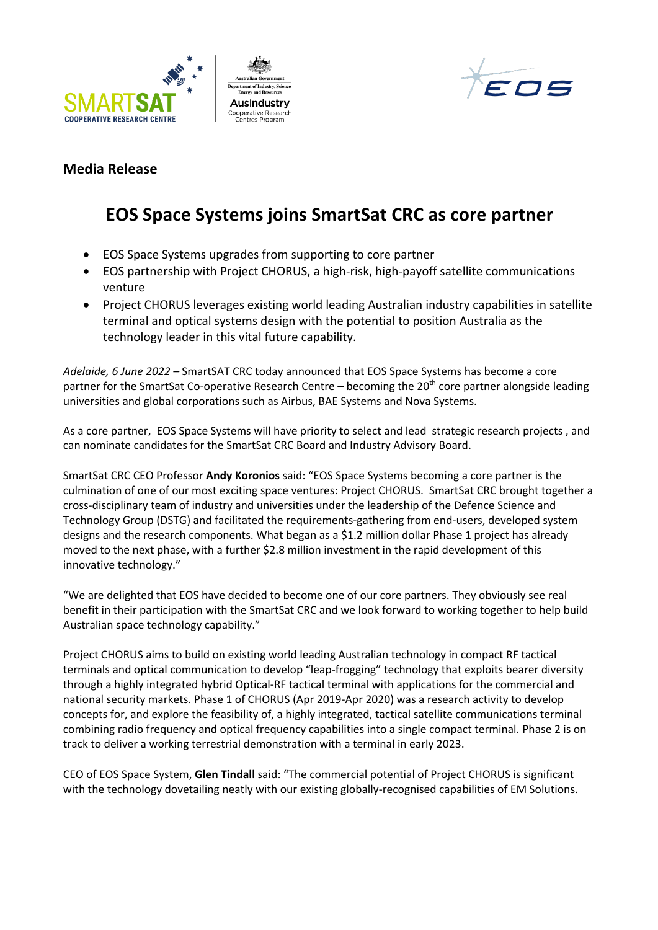





## **Media Release**

## **EOS Space Systems joins SmartSat CRC as core partner**

- EOS Space Systems upgrades from supporting to core partner
- EOS partnership with Project CHORUS, a high-risk, high-payoff satellite communications venture
- Project CHORUS leverages existing world leading Australian industry capabilities in satellite terminal and optical systems design with the potential to position Australia as the technology leader in this vital future capability.

*Adelaide, 6 June 2022 –* SmartSAT CRC today announced that EOS Space Systems has become a core partner for the SmartSat Co-operative Research Centre – becoming the 20<sup>th</sup> core partner alongside leading universities and global corporations such as Airbus, BAE Systems and Nova Systems.

As a core partner, EOS Space Systems will have priority to select and lead strategic research projects , and can nominate candidates for the SmartSat CRC Board and Industry Advisory Board.

SmartSat CRC CEO Professor **Andy Koronios** said: "EOS Space Systems becoming a core partner is the culmination of one of our most exciting space ventures: Project CHORUS. SmartSat CRC brought together a cross-disciplinary team of industry and universities under the leadership of the Defence Science and Technology Group (DSTG) and facilitated the requirements-gathering from end-users, developed system designs and the research components. What began as a \$1.2 million dollar Phase 1 project has already moved to the next phase, with a further \$2.8 million investment in the rapid development of this innovative technology."

"We are delighted that EOS have decided to become one of our core partners. They obviously see real benefit in their participation with the SmartSat CRC and we look forward to working together to help build Australian space technology capability."

Project CHORUS aims to build on existing world leading Australian technology in compact RF tactical terminals and optical communication to develop "leap-frogging" technology that exploits bearer diversity through a highly integrated hybrid Optical-RF tactical terminal with applications for the commercial and national security markets. Phase 1 of CHORUS (Apr 2019-Apr 2020) was a research activity to develop concepts for, and explore the feasibility of, a highly integrated, tactical satellite communications terminal combining radio frequency and optical frequency capabilities into a single compact terminal. Phase 2 is on track to deliver a working terrestrial demonstration with a terminal in early 2023.

CEO of EOS Space System, **Glen Tindall** said: "The commercial potential of Project CHORUS is significant with the technology dovetailing neatly with our existing globally-recognised capabilities of EM Solutions.